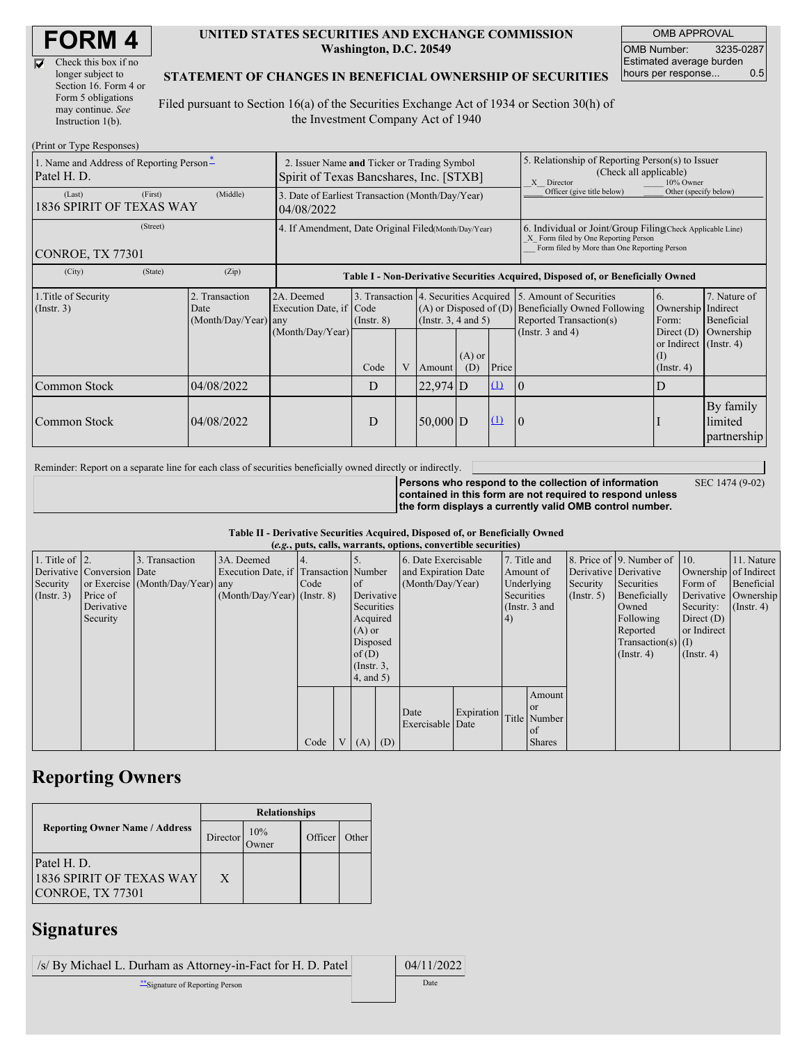$\overline{\nabla}$ 

| Check this box if no  |
|-----------------------|
| longer subject to     |
| Section 16. Form 4 or |
| Form 5 obligations    |
| may continue. See     |
| Instruction $1(b)$ .  |

#### **UNITED STATES SECURITIES AND EXCHANGE COMMISSION Washington, D.C. 20549**

OMB APPROVAL OMB Number: 3235-0287 Estimated average burden hours per response... 0.5

### **STATEMENT OF CHANGES IN BENEFICIAL OWNERSHIP OF SECURITIES**

Filed pursuant to Section 16(a) of the Securities Exchange Act of 1934 or Section 30(h) of the Investment Company Act of 1940

| (Print or Type Responses)                                 |                                                                                        |                                            |                                                                |                 |   |                          |                                                                                                       |                                                                                                                                                    |                                                                                                                                                     |                                                                   |                                     |
|-----------------------------------------------------------|----------------------------------------------------------------------------------------|--------------------------------------------|----------------------------------------------------------------|-----------------|---|--------------------------|-------------------------------------------------------------------------------------------------------|----------------------------------------------------------------------------------------------------------------------------------------------------|-----------------------------------------------------------------------------------------------------------------------------------------------------|-------------------------------------------------------------------|-------------------------------------|
| 1. Name and Address of Reporting Person-<br>Patel H. D.   | 2. Issuer Name and Ticker or Trading Symbol<br>Spirit of Texas Bancshares, Inc. [STXB] |                                            |                                                                |                 |   |                          | 5. Relationship of Reporting Person(s) to Issuer<br>(Check all applicable)<br>10% Owner<br>X Director |                                                                                                                                                    |                                                                                                                                                     |                                                                   |                                     |
| (First)<br>(Middle)<br>(Last)<br>1836 SPIRIT OF TEXAS WAY |                                                                                        |                                            | 3. Date of Earliest Transaction (Month/Day/Year)<br>04/08/2022 |                 |   |                          |                                                                                                       | Officer (give title below)                                                                                                                         | Other (specify below)                                                                                                                               |                                                                   |                                     |
| (Street)<br>CONROE, TX 77301                              |                                                                                        |                                            | 4. If Amendment, Date Original Filed(Month/Day/Year)           |                 |   |                          |                                                                                                       | 6. Individual or Joint/Group Filing Check Applicable Line)<br>X Form filed by One Reporting Person<br>Form filed by More than One Reporting Person |                                                                                                                                                     |                                                                   |                                     |
| (City)                                                    | Table I - Non-Derivative Securities Acquired, Disposed of, or Beneficially Owned       |                                            |                                                                |                 |   |                          |                                                                                                       |                                                                                                                                                    |                                                                                                                                                     |                                                                   |                                     |
| 1. Title of Security<br>$($ Instr. 3 $)$                  |                                                                                        | 2. Transaction<br>Date<br>(Month/Day/Year) | 2A. Deemed<br>Execution Date, if Code<br>any                   | $($ Instr. $8)$ |   | (Instr. $3, 4$ and $5$ ) |                                                                                                       |                                                                                                                                                    | 3. Transaction 4. Securities Acquired 5. Amount of Securities<br>$(A)$ or Disposed of $(D)$ Beneficially Owned Following<br>Reported Transaction(s) | <sup>6.</sup><br>Ownership Indirect<br>Form:                      | 7. Nature of<br><b>Beneficial</b>   |
|                                                           |                                                                                        |                                            | (Month/Day/Year)                                               | Code            | V | Amount                   | $(A)$ or<br>(D)                                                                                       | Price                                                                                                                                              | (Instr. $3$ and $4$ )                                                                                                                               | Direct $(D)$<br>or Indirect (Instr. 4)<br>(I)<br>$($ Instr. 4 $)$ | Ownership                           |
| Common Stock                                              |                                                                                        | 04/08/2022                                 |                                                                | D               |   | $22,974$ D               |                                                                                                       | (1)                                                                                                                                                | $\overline{0}$                                                                                                                                      | D                                                                 |                                     |
| Common Stock                                              |                                                                                        | 04/08/2022                                 |                                                                | D               |   | $50,000$ D               |                                                                                                       | (1)                                                                                                                                                | $\overline{0}$                                                                                                                                      |                                                                   | By family<br>limited<br>partnership |

Reminder: Report on a separate line for each class of securities beneficially owned directly or indirectly.

**Persons who respond to the collection of information**

SEC 1474 (9-02)

**contained in this form are not required to respond unless the form displays a currently valid OMB control number.**

### **Table II - Derivative Securities Acquired, Disposed of, or Beneficially Owned**

| (e.g., puts, calls, warrants, options, convertible securities) |                            |                                  |                                       |      |                |                 |     |                     |            |            |               |                       |                          |                       |            |                      |                  |
|----------------------------------------------------------------|----------------------------|----------------------------------|---------------------------------------|------|----------------|-----------------|-----|---------------------|------------|------------|---------------|-----------------------|--------------------------|-----------------------|------------|----------------------|------------------|
| 1. Title of $\vert$ 2.                                         |                            | 3. Transaction                   | 3A. Deemed                            |      |                |                 |     | 6. Date Exercisable |            |            | 7. Title and  |                       | 8. Price of 9. Number of | $\vert$ 10.           | 11. Nature |                      |                  |
|                                                                | Derivative Conversion Date |                                  | Execution Date, if Transaction Number |      |                |                 |     | and Expiration Date |            | Amount of  |               | Derivative Derivative |                          | Ownership of Indirect |            |                      |                  |
| Security                                                       |                            | or Exercise (Month/Day/Year) any |                                       | Code |                | <sub>of</sub>   |     | (Month/Day/Year)    |            |            | Underlying    | Security              | Securities               | Form of               | Beneficial |                      |                  |
| $($ Instr. 3 $)$                                               | Price of                   |                                  | $(Month/Day/Year)$ (Instr. 8)         |      |                | Derivative      |     |                     |            | Securities |               |                       | $($ Instr. 5 $)$         | Beneficially          |            | Derivative Ownership |                  |
|                                                                | Derivative                 |                                  |                                       |      |                | Securities      |     |                     |            |            |               |                       | (Instr. $3$ and          |                       | Owned      | Security:            | $($ Instr. 4 $)$ |
|                                                                | Security                   |                                  |                                       |      |                | Acquired        |     |                     | 4)         |            |               |                       | Following                | Direct $(D)$          |            |                      |                  |
|                                                                |                            |                                  |                                       |      |                | $(A)$ or        |     |                     |            |            |               |                       | Reported                 | or Indirect           |            |                      |                  |
|                                                                |                            |                                  |                                       |      |                | Disposed        |     |                     |            |            |               |                       | $Transaction(s)$ (I)     |                       |            |                      |                  |
|                                                                |                            |                                  |                                       |      |                | of(D)           |     |                     |            |            |               |                       | $($ Instr. 4 $)$         | $($ Instr. 4 $)$      |            |                      |                  |
|                                                                |                            |                                  |                                       |      |                | $($ Instr. $3,$ |     |                     |            |            |               |                       |                          |                       |            |                      |                  |
|                                                                |                            |                                  |                                       |      |                | $4$ , and $5$ ) |     |                     |            |            |               |                       |                          |                       |            |                      |                  |
|                                                                |                            |                                  |                                       |      |                |                 |     |                     |            |            | Amount        |                       |                          |                       |            |                      |                  |
|                                                                |                            |                                  |                                       |      |                |                 |     |                     |            |            | <sub>or</sub> |                       |                          |                       |            |                      |                  |
|                                                                |                            |                                  |                                       |      |                |                 |     | Date                | Expiration |            | Title Number  |                       |                          |                       |            |                      |                  |
|                                                                |                            |                                  |                                       |      |                |                 |     | Exercisable Date    |            |            | of            |                       |                          |                       |            |                      |                  |
|                                                                |                            |                                  |                                       | Code | V <sub>1</sub> | (A)             | (D) |                     |            |            | <b>Shares</b> |                       |                          |                       |            |                      |                  |

# **Reporting Owners**

|                                                             | <b>Relationships</b> |                      |         |       |  |  |  |
|-------------------------------------------------------------|----------------------|----------------------|---------|-------|--|--|--|
| <b>Reporting Owner Name / Address</b>                       | <b>Director</b>      | 10%<br><b>J</b> wner | Officer | Other |  |  |  |
| Patel H. D.<br>1836 SPIRIT OF TEXAS WAY<br>CONROE, TX 77301 | X                    |                      |         |       |  |  |  |

### **Signatures**

| /s/ By Michael L. Durham as Attorney-in-Fact for H. D. Patel | 04/11/2022 |
|--------------------------------------------------------------|------------|
| Signature of Reporting Person                                | Date       |